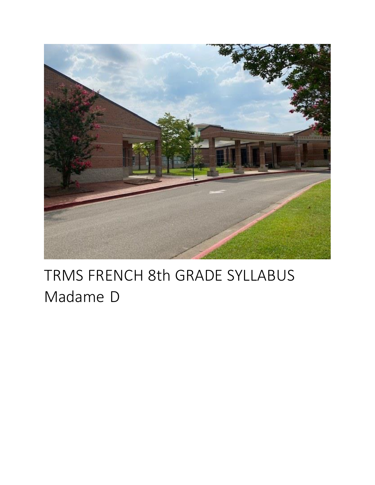

# TRMS FRENCH 8th GRADE SYLLABUS Madame D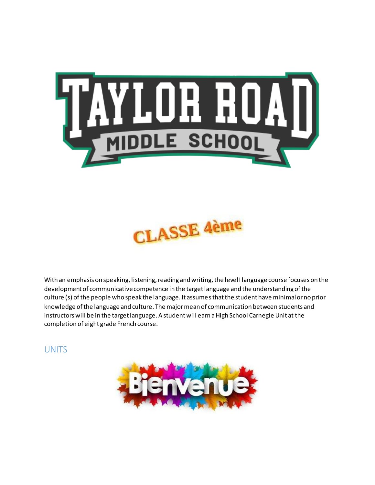



With an emphasis on speaking, listening, reading and writing, the level I language course focuses on the development of communicative competence in the target language and the understanding of the culture (s) of the people who speak the language. It assumes that the student have minimal or no prior knowledge of the language and culture. The major mean of communication between students and instructors will be in the target language. A student will earn a High School Carnegie Unit at the completion of eight grade French course.

**UNITS** 

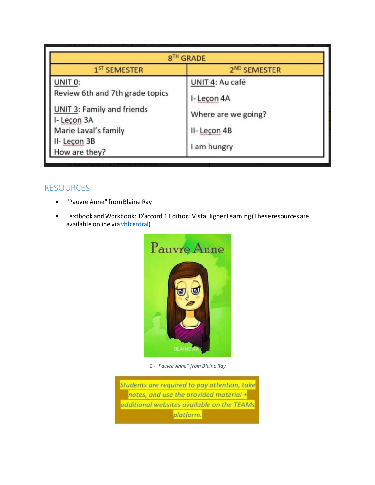| 8TH GRADE                                        |                          |
|--------------------------------------------------|--------------------------|
| 1 <sup>ST</sup> SEMESTER                         | 2 <sup>ND</sup> SEMESTER |
| UNIT 0:                                          | UNIT 4: Au café          |
| Review 6th and 7th grade topics                  | I- Leçon 4A              |
| <b>UNIT 3: Family and friends</b><br>I- Leçon 3A | Where are we going?      |
| Marie Laval's family                             | II-Leçon 4B              |
| II- Leçon 3B<br>How are they?                    | I am hungry              |

## RESOURCES

- "Pauvre Anne" from Blaine Ray
- Textbook and Workbook: D'accord 1 Edition: Vista Higher Learning (These resources are available online via vhlcentral)



*1 - "Pauvre Anne" from Blaine Ray*

Students are required to pay attention, take notes, and use the provided material + additional websites available on the TEAMs platform.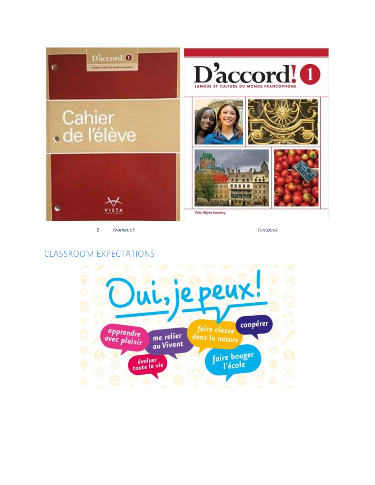

*2 - Workbook Textbook* 

## CLASSROOM EXPECTATIONS

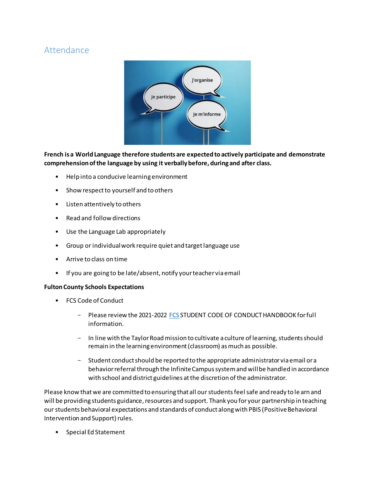## Attendance



**French is a World Language therefore students are expected to actively participate and demonstrate comprehension of the language by using it verbally before, during and after class.** 

- Help into a conducive learning environment
- Show respect to yourself and to others
- Listen attentively to others
- Read and follow directions
- Use the Language Lab appropriately
- Group or individual work require quiet and target language use
- Arrive to class on time
- If you are going to be late/absent, notify your teacher via email

### **Fulton County Schools Expectations**

- FCS Code of Conduct
	- Please review the 2021-2022 FCS STUDENT CODE OF CONDUCT HANDBOOK for full information.
	- In line with the Taylor Road mission to cultivate a culture of learning, students should remain in the learning environment (classroom) as much as possible.
	- Student conduct should be reported to the appropriate administrator via email or a behavior referral through the Infinite Campus system and will be handled in accordance with school and district guidelines at the discretion of the administrator.

Please know that we are committed to ensuring that all our students feel safe and ready to le arn and will be providing students guidance, resources and support. Thank you for your partnership in teaching our students behavioral expectations and standards of conduct along with PBIS (Positive Behavioral Intervention and Support) rules.

• Special Ed Statement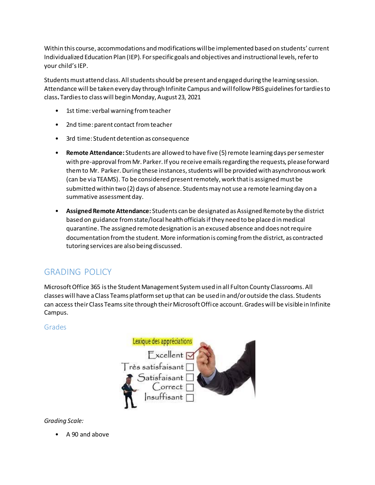Within this course, accommodations and modifications will be implemented based on students' current Individualized Education Plan (IEP). For specific goals and objectives and instructional levels, refer to your child's IEP.

Students must attend class. All students should be present and engaged during the learning session. Attendance will be taken every day through Infinite Campus and will follow PBIS guidelines for tardies to class**.** Tardies to class will begin Monday, August 23, 2021

- 1st time: verbal warning from teacher
- 2nd time: parent contact from teacher
- 3rd time: Student detention as consequence
- **Remote Attendance:** Students are allowed to have five (5) remote learning days per semester with pre-approval from Mr. Parker. If you receive emails regarding the requests, please forward them to Mr. Parker. During these instances, students will be provided with asynchronous work (can be via TEAMS). To be considered present remotely, work that is assigned must be submitted within two (2) days of absence. Students may not use a remote learning day on a summative assessment day.
- **Assigned Remote Attendance:** Students can be designated as Assigned Remote by the district based on guidance from state/local health officials if they need to be placed in medical quarantine. The assigned remote designation is an excused absence and does not require documentation from the student. More information is coming from the district, as contracted tutoring services are also being discussed.

# GRADING POLICY

Microsoft Office 365 is the Student Management System used in all Fulton County Classrooms. All classes will have a Class Teams platform set up that can be used in and/or outside the class. Students can access their Class Teams site through their Microsoft Office account. Grades will be visible in Infinite Campus.

### Grades



## *Grading Scale:*

• A 90 and above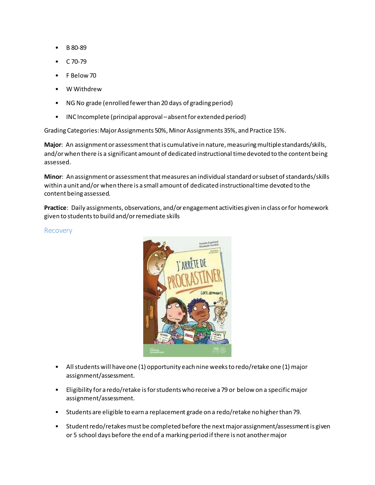- B 80-89
- C 70-79
- F Below 70
- W Withdrew
- NG No grade (enrolled fewer than 20 days of grading period)
- INC Incomplete (principal approval –absent for extended period)

Grading Categories: Major Assignments 50%, Minor Assignments 35%, and Practice 15%.

**Major**: An assignment or assessment that is cumulative in nature, measuring multiple standards/skills, and/or when there is a significant amount of dedicated instructional time devoted to the content being assessed.

**Minor**: An assignment or assessment that measures an individual standard or subset of standards/skills within a unit and/or when there is a small amount of dedicated instructional time devoted to the content being assessed.

**Practice**: Daily assignments, observations, and/or engagement activities given in class or for homework given to students to build and/or remediate skills

Recovery



- All students will have one (1) opportunity each nine weeks to redo/retake one (1) major assignment/assessment.
- Eligibility for a redo/retake is for students who receive a 79 or below on a specific major assignment/assessment.
- Students are eligible to earn a replacement grade on a redo/retake no higher than 79.
- Student redo/retakes must be completed before the next major assignment/assessment is given or 5 school days before the end of a marking period if there is not another major